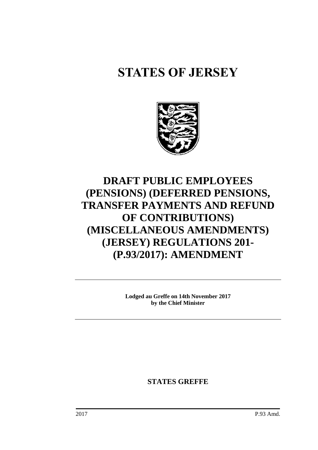# **STATES OF JERSEY**



# **DRAFT PUBLIC EMPLOYEES (PENSIONS) (DEFERRED PENSIONS, TRANSFER PAYMENTS AND REFUND OF CONTRIBUTIONS) (MISCELLANEOUS AMENDMENTS) (JERSEY) REGULATIONS 201- (P.93/2017): AMENDMENT**

**Lodged au Greffe on 14th November 2017 by the Chief Minister**

**STATES GREFFE**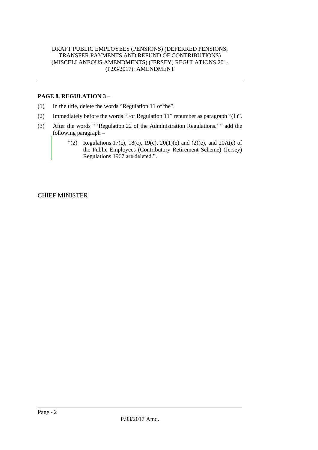#### DRAFT PUBLIC EMPLOYEES (PENSIONS) (DEFERRED PENSIONS, TRANSFER PAYMENTS AND REFUND OF CONTRIBUTIONS) (MISCELLANEOUS AMENDMENTS) (JERSEY) REGULATIONS 201- (P.93/2017): AMENDMENT

#### **PAGE 8, REGULATION 3 –**

- (1) In the title, delete the words "Regulation 11 of the".
- (2) Immediately before the words "For Regulation 11" renumber as paragraph "(1)".
- (3) After the words " 'Regulation 22 of the Administration Regulations.' " add the following paragraph –
	- "(2) Regulations 17(c), 18(c), 19(c), 20(1)(e) and (2)(e), and 20A(e) of the Public Employees (Contributory Retirement Scheme) (Jersey) Regulations 1967 are deleted.".

#### CHIEF MINISTER